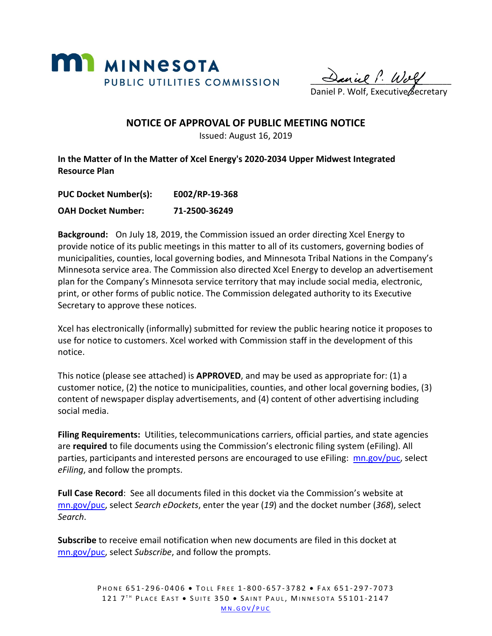

 $\frac{1}{\sqrt{2}}$ 

Daniel P. Wolf, Executive Secretary

#### **NOTICE OF APPROVAL OF PUBLIC MEETING NOTICE**

Issued: August 16, 2019

**In the Matter of In the Matter of Xcel Energy's 2020-2034 Upper Midwest Integrated Resource Plan**

**PUC Docket Number(s): E002/RP-19-368**

**OAH Docket Number: 71-2500-36249**

**Background:** On July 18, 2019, the Commission issued an order directing Xcel Energy to provide notice of its public meetings in this matter to all of its customers, governing bodies of municipalities, counties, local governing bodies, and Minnesota Tribal Nations in the Company's Minnesota service area. The Commission also directed Xcel Energy to develop an advertisement plan for the Company's Minnesota service territory that may include social media, electronic, print, or other forms of public notice. The Commission delegated authority to its Executive Secretary to approve these notices.

Xcel has electronically (informally) submitted for review the public hearing notice it proposes to use for notice to customers. Xcel worked with Commission staff in the development of this notice.

This notice (please see attached) is **APPROVED**, and may be used as appropriate for: (1) a customer notice, (2) the notice to municipalities, counties, and other local governing bodies, (3) content of newspaper display advertisements, and (4) content of other advertising including social media.

**Filing Requirements:** Utilities, telecommunications carriers, official parties, and state agencies are **required** to file documents using the Commission's electronic filing system (eFiling). All parties, participants and interested persons are encouraged to use eFiling: [mn.gov/puc,](http://mn.gov/puc/) select *eFiling*, and follow the prompts.

**Full Case Record**: See all documents filed in this docket via the Commission's website at [mn.gov/puc,](http://mn.gov/puc/) select *Search eDockets*, enter the year (*19*) and the docket number (*368*), select *Search*.

**Subscribe** to receive email notification when new documents are filed in this docket at [mn.gov/puc,](http://mn.gov/puc/) select *Subscribe*, and follow the prompts.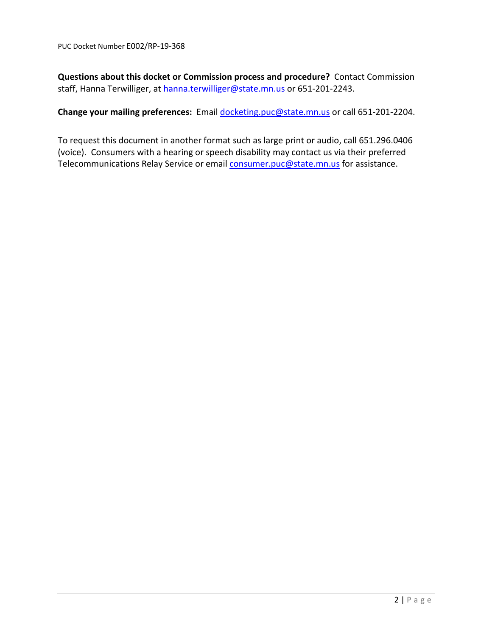**Questions about this docket or Commission process and procedure?** Contact Commission staff, Hanna Terwilliger, at [hanna.terwilliger@state.mn.us](mailto:hanna.terwilliger@state.mn.us) or 651-201-2243.

**Change your mailing preferences:** Email [docketing.puc@state.mn.us](mailto:docketing.puc@state.mn.us) or call 651-201-2204.

To request this document in another format such as large print or audio, call 651.296.0406 (voice). Consumers with a hearing or speech disability may contact us via their preferred Telecommunications Relay Service or email [consumer.puc@state.mn.us](mailto:consumer.puc@state.mn.us) for assistance.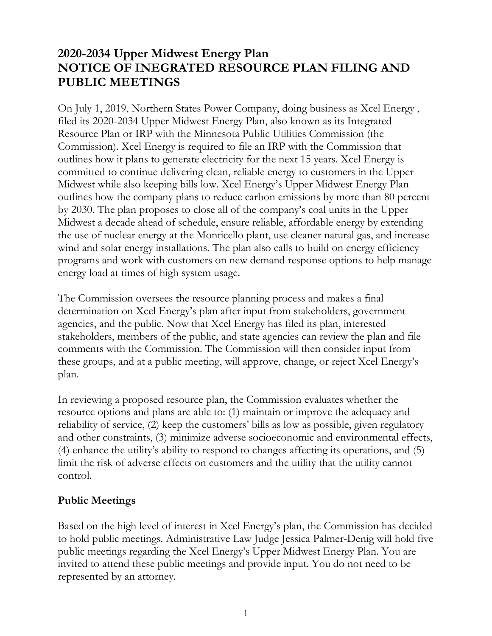## **2020-2034 Upper Midwest Energy Plan NOTICE OF INEGRATED RESOURCE PLAN FILING AND PUBLIC MEETINGS**

On July 1, 2019, Northern States Power Company, doing business as Xcel Energy , filed its 2020-2034 Upper Midwest Energy Plan, also known as its Integrated Resource Plan or IRP with the Minnesota Public Utilities Commission (the Commission). Xcel Energy is required to file an IRP with the Commission that outlines how it plans to generate electricity for the next 15 years. Xcel Energy is committed to continue delivering clean, reliable energy to customers in the Upper Midwest while also keeping bills low. Xcel Energy's Upper Midwest Energy Plan outlines how the company plans to reduce carbon emissions by more than 80 percent by 2030. The plan proposes to close all of the company's coal units in the Upper Midwest a decade ahead of schedule, ensure reliable, affordable energy by extending the use of nuclear energy at the Monticello plant, use cleaner natural gas, and increase wind and solar energy installations. The plan also calls to build on energy efficiency programs and work with customers on new demand response options to help manage energy load at times of high system usage.

The Commission oversees the resource planning process and makes a final determination on Xcel Energy's plan after input from stakeholders, government agencies, and the public. Now that Xcel Energy has filed its plan, interested stakeholders, members of the public, and state agencies can review the plan and file comments with the Commission. The Commission will then consider input from these groups, and at a public meeting, will approve, change, or reject Xcel Energy's plan.

In reviewing a proposed resource plan, the Commission evaluates whether the resource options and plans are able to: (1) maintain or improve the adequacy and reliability of service, (2) keep the customers' bills as low as possible, given regulatory and other constraints, (3) minimize adverse socioeconomic and environmental effects, (4) enhance the utility's ability to respond to changes affecting its operations, and (5) limit the risk of adverse effects on customers and the utility that the utility cannot control.

### **Public Meetings**

Based on the high level of interest in Xcel Energy's plan, the Commission has decided to hold public meetings. Administrative Law Judge Jessica Palmer-Denig will hold five public meetings regarding the Xcel Energy's Upper Midwest Energy Plan. You are invited to attend these public meetings and provide input. You do not need to be represented by an attorney.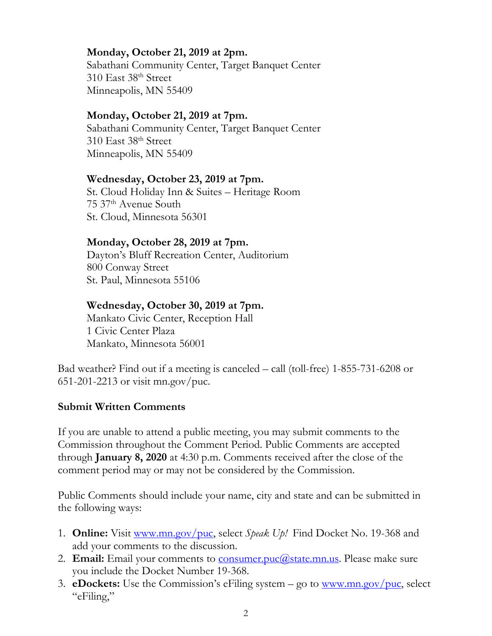#### **Monday, October 21, 2019 at 2pm.**

Sabathani Community Center, Target Banquet Center 310 East 38th Street Minneapolis, MN 55409

#### **Monday, October 21, 2019 at 7pm.**

Sabathani Community Center, Target Banquet Center 310 East 38th Street Minneapolis, MN 55409

#### **Wednesday, October 23, 2019 at 7pm.**

St. Cloud Holiday Inn & Suites – Heritage Room 75 37th Avenue South St. Cloud, Minnesota 56301

#### **Monday, October 28, 2019 at 7pm.**

Dayton's Bluff Recreation Center, Auditorium 800 Conway Street St. Paul, Minnesota 55106

#### **Wednesday, October 30, 2019 at 7pm.**

Mankato Civic Center, Reception Hall 1 Civic Center Plaza Mankato, Minnesota 56001

Bad weather? Find out if a meeting is canceled – call (toll-free) 1-855-731-6208 or 651-201-2213 or visit mn.gov/puc.

#### **Submit Written Comments**

If you are unable to attend a public meeting, you may submit comments to the Commission throughout the Comment Period. Public Comments are accepted through **January 8, 2020** at 4:30 p.m. Comments received after the close of the comment period may or may not be considered by the Commission.

Public Comments should include your name, city and state and can be submitted in the following ways:

- 1. **Online:** Visit [www.mn.gov/puc,](http://www.mn.gov/puc) select *Speak Up!* Find Docket No. 19-368 and add your comments to the discussion.
- 2. **Email:** Email your comments to **consumer.puc@state.mn.us**. Please make sure you include the Docket Number 19-368.
- 3. **eDockets:** Use the Commission's eFiling system go to [www.mn.gov/puc,](http://www.mn.gov/puc) select "eFiling,"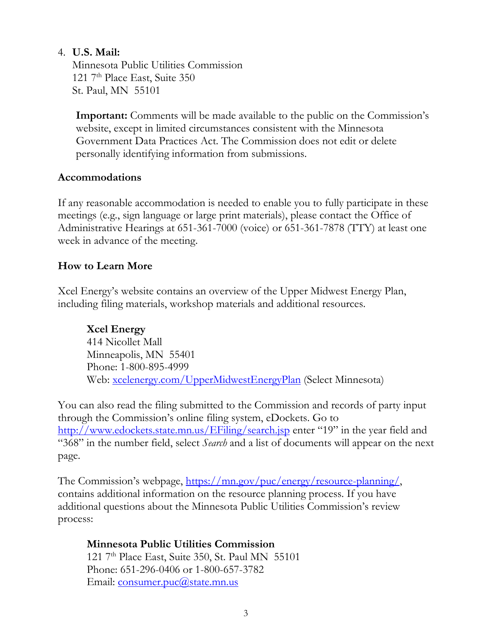#### 4. **U.S. Mail:**

Minnesota Public Utilities Commission 121  $7<sup>th</sup>$  Place East, Suite 350 St. Paul, MN 55101

**Important:** Comments will be made available to the public on the Commission's website, except in limited circumstances consistent with the Minnesota Government Data Practices Act. The Commission does not edit or delete personally identifying information from submissions.

#### **Accommodations**

If any reasonable accommodation is needed to enable you to fully participate in these meetings (e.g., sign language or large print materials), please contact the Office of Administrative Hearings at 651-361-7000 (voice) or 651-361-7878 (TTY) at least one week in advance of the meeting.

#### **How to Learn More**

Xcel Energy's website contains an overview of the Upper Midwest Energy Plan, including filing materials, workshop materials and additional resources.

**Xcel Energy** 414 Nicollet Mall Minneapolis, MN 55401 Phone: 1-800-895-4999 Web: [xcelenergy.com/UpperMidwestEnergyPlan](http://xcelenergy.com/UpperMidwestEnergyPlan) (Select Minnesota)

You can also read the filing submitted to the Commission and records of party input through the Commission's online filing system, eDockets. Go to <http://www.edockets.state.mn.us/EFiling/search.jsp> enter "19" in the year field and "368" in the number field, select *Search* and a list of documents will appear on the next page.

The Commission's webpage, [https://mn.gov/puc/energy/resource-planning/,](https://mn.gov/puc/energy/resource-planning/) contains additional information on the resource planning process. If you have additional questions about the Minnesota Public Utilities Commission's review process:

# **Minnesota Public Utilities Commission**

121  $7<sup>th</sup>$  Place East, Suite 350, St. Paul MN 55101 Phone: 651-296-0406 or 1-800-657-3782 Email: [consumer.puc@state.mn.us](file://Corp.xcelenergy.com/SharedData/General-Offices-GO-01/RATE/15_Elec_Rate%20Case%20MN%2015-0826/Communications/14%20Public%20Hearings/AppData/Local/Microsoft/Windows/Temporary%20Internet%20Files/Content.Outlook/0CBY39RU/consumer.puc@state.mn.us)